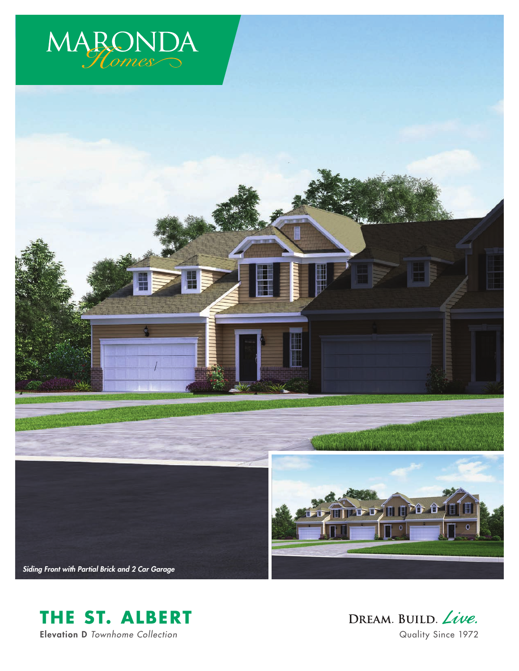